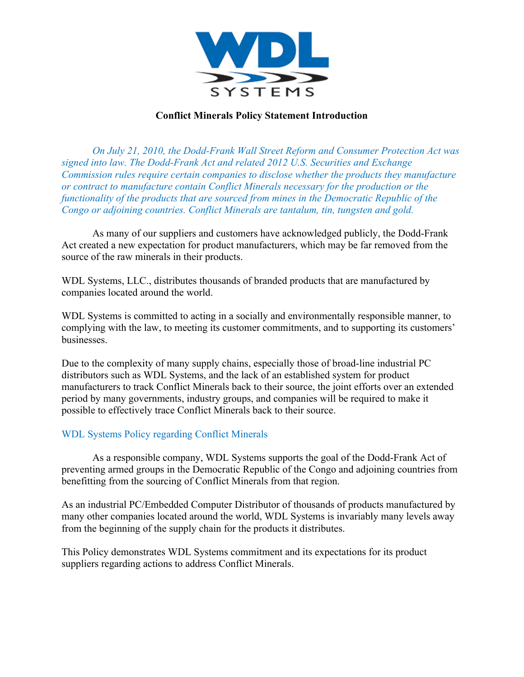

## **Conflict Minerals Policy Statement Introduction**

*On July 21, 2010, the Dodd-Frank Wall Street Reform and Consumer Protection Act was signed into law. The Dodd-Frank Act and related 2012 U.S. Securities and Exchange Commission rules require certain companies to disclose whether the products they manufacture or contract to manufacture contain Conflict Minerals necessary for the production or the functionality of the products that are sourced from mines in the Democratic Republic of the Congo or adjoining countries. Conflict Minerals are tantalum, tin, tungsten and gold.*

As many of our suppliers and customers have acknowledged publicly, the Dodd-Frank Act created a new expectation for product manufacturers, which may be far removed from the source of the raw minerals in their products.

WDL Systems, LLC., distributes thousands of branded products that are manufactured by companies located around the world.

WDL Systems is committed to acting in a socially and environmentally responsible manner, to complying with the law, to meeting its customer commitments, and to supporting its customers' businesses.

Due to the complexity of many supply chains, especially those of broad-line industrial PC distributors such as WDL Systems, and the lack of an established system for product manufacturers to track Conflict Minerals back to their source, the joint efforts over an extended period by many governments, industry groups, and companies will be required to make it possible to effectively trace Conflict Minerals back to their source.

#### WDL Systems Policy regarding Conflict Minerals

As a responsible company, WDL Systems supports the goal of the Dodd-Frank Act of preventing armed groups in the Democratic Republic of the Congo and adjoining countries from benefitting from the sourcing of Conflict Minerals from that region.

As an industrial PC/Embedded Computer Distributor of thousands of products manufactured by many other companies located around the world, WDL Systems is invariably many levels away from the beginning of the supply chain for the products it distributes.

This Policy demonstrates WDL Systems commitment and its expectations for its product suppliers regarding actions to address Conflict Minerals.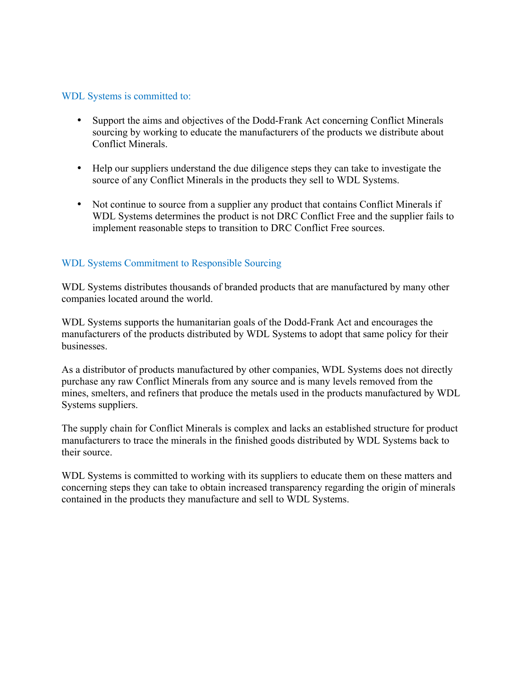#### WDL Systems is committed to:

- Support the aims and objectives of the Dodd-Frank Act concerning Conflict Minerals sourcing by working to educate the manufacturers of the products we distribute about Conflict Minerals.
- Help our suppliers understand the due diligence steps they can take to investigate the source of any Conflict Minerals in the products they sell to WDL Systems.
- Not continue to source from a supplier any product that contains Conflict Minerals if WDL Systems determines the product is not DRC Conflict Free and the supplier fails to implement reasonable steps to transition to DRC Conflict Free sources.

## WDL Systems Commitment to Responsible Sourcing

WDL Systems distributes thousands of branded products that are manufactured by many other companies located around the world.

WDL Systems supports the humanitarian goals of the Dodd-Frank Act and encourages the manufacturers of the products distributed by WDL Systems to adopt that same policy for their businesses.

As a distributor of products manufactured by other companies, WDL Systems does not directly purchase any raw Conflict Minerals from any source and is many levels removed from the mines, smelters, and refiners that produce the metals used in the products manufactured by WDL Systems suppliers.

The supply chain for Conflict Minerals is complex and lacks an established structure for product manufacturers to trace the minerals in the finished goods distributed by WDL Systems back to their source.

WDL Systems is committed to working with its suppliers to educate them on these matters and concerning steps they can take to obtain increased transparency regarding the origin of minerals contained in the products they manufacture and sell to WDL Systems.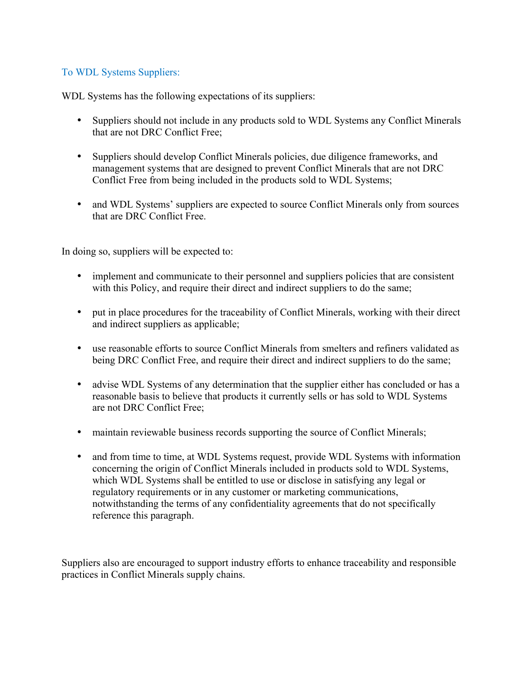# To WDL Systems Suppliers:

WDL Systems has the following expectations of its suppliers:

- Suppliers should not include in any products sold to WDL Systems any Conflict Minerals that are not DRC Conflict Free;
- Suppliers should develop Conflict Minerals policies, due diligence frameworks, and management systems that are designed to prevent Conflict Minerals that are not DRC Conflict Free from being included in the products sold to WDL Systems;
- and WDL Systems' suppliers are expected to source Conflict Minerals only from sources that are DRC Conflict Free.

In doing so, suppliers will be expected to:

- implement and communicate to their personnel and suppliers policies that are consistent with this Policy, and require their direct and indirect suppliers to do the same;
- put in place procedures for the traceability of Conflict Minerals, working with their direct and indirect suppliers as applicable;
- use reasonable efforts to source Conflict Minerals from smelters and refiners validated as being DRC Conflict Free, and require their direct and indirect suppliers to do the same;
- advise WDL Systems of any determination that the supplier either has concluded or has a reasonable basis to believe that products it currently sells or has sold to WDL Systems are not DRC Conflict Free;
- maintain reviewable business records supporting the source of Conflict Minerals;
- and from time to time, at WDL Systems request, provide WDL Systems with information concerning the origin of Conflict Minerals included in products sold to WDL Systems, which WDL Systems shall be entitled to use or disclose in satisfying any legal or regulatory requirements or in any customer or marketing communications, notwithstanding the terms of any confidentiality agreements that do not specifically reference this paragraph.

Suppliers also are encouraged to support industry efforts to enhance traceability and responsible practices in Conflict Minerals supply chains.